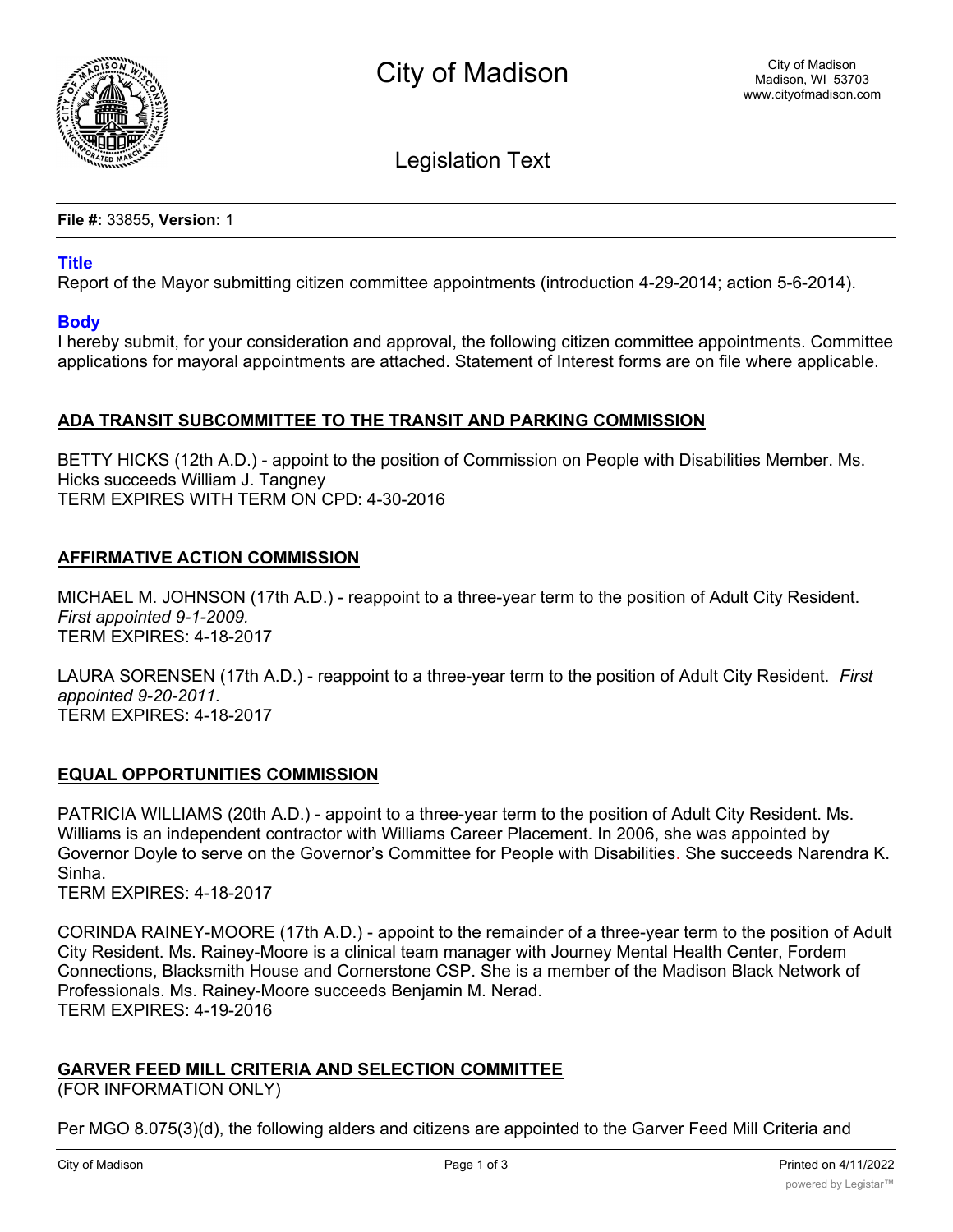

Legislation Text

**File #:** 33855, **Version:** 1

## **Title**

Report of the Mayor submitting citizen committee appointments (introduction 4-29-2014; action 5-6-2014).

### **Body**

I hereby submit, for your consideration and approval, the following citizen committee appointments. Committee applications for mayoral appointments are attached. Statement of Interest forms are on file where applicable.

## **ADA TRANSIT SUBCOMMITTEE TO THE TRANSIT AND PARKING COMMISSION**

BETTY HICKS (12th A.D.) - appoint to the position of Commission on People with Disabilities Member. Ms. Hicks succeeds William J. Tangney TERM EXPIRES WITH TERM ON CPD: 4-30-2016

# **AFFIRMATIVE ACTION COMMISSION**

MICHAEL M. JOHNSON (17th A.D.) - reappoint to a three-year term to the position of Adult City Resident. *First appointed 9-1-2009.* TERM EXPIRES: 4-18-2017

LAURA SORENSEN (17th A.D.) - reappoint to a three-year term to the position of Adult City Resident. *First appointed 9-20-2011.* TERM EXPIRES: 4-18-2017

### **EQUAL OPPORTUNITIES COMMISSION**

PATRICIA WILLIAMS (20th A.D.) - appoint to a three-year term to the position of Adult City Resident. Ms. Williams is an independent contractor with Williams Career Placement. In 2006, she was appointed by Governor Doyle to serve on the Governor's Committee for People with Disabilities. She succeeds Narendra K. Sinha.

TERM EXPIRES: 4-18-2017

CORINDA RAINEY-MOORE (17th A.D.) - appoint to the remainder of a three-year term to the position of Adult City Resident. Ms. Rainey-Moore is a clinical team manager with Journey Mental Health Center, Fordem Connections, Blacksmith House and Cornerstone CSP. She is a member of the Madison Black Network of Professionals. Ms. Rainey-Moore succeeds Benjamin M. Nerad. TERM EXPIRES: 4-19-2016

# **GARVER FEED MILL CRITERIA AND SELECTION COMMITTEE**

(FOR INFORMATION ONLY)

Per MGO 8.075(3)(d), the following alders and citizens are appointed to the Garver Feed Mill Criteria and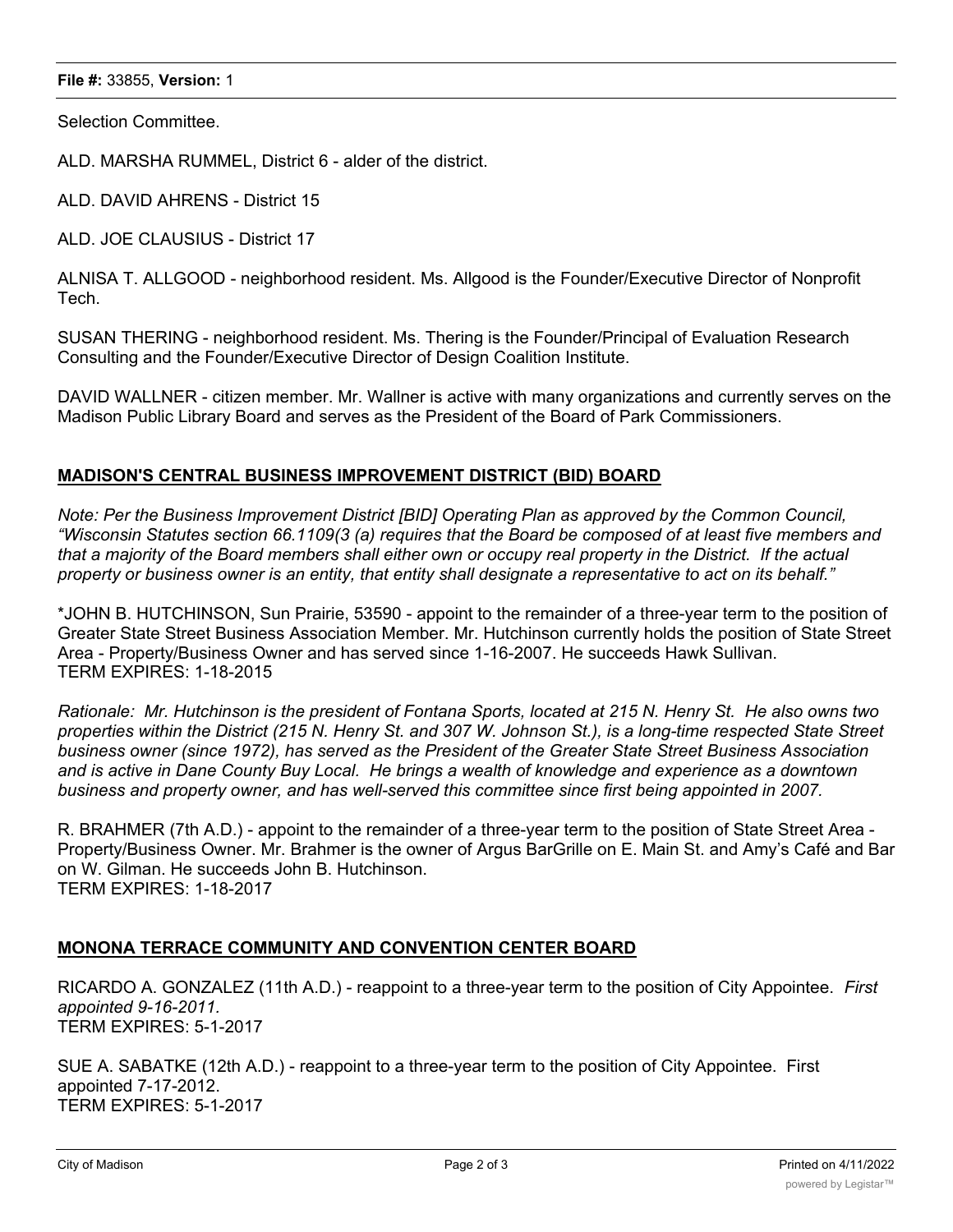#### **File #:** 33855, **Version:** 1

Selection Committee.

ALD. MARSHA RUMMEL, District 6 - alder of the district.

ALD. DAVID AHRENS - District 15

ALD. JOE CLAUSIUS - District 17

ALNISA T. ALLGOOD - neighborhood resident. Ms. Allgood is the Founder/Executive Director of Nonprofit Tech.

SUSAN THERING - neighborhood resident. Ms. Thering is the Founder/Principal of Evaluation Research Consulting and the Founder/Executive Director of Design Coalition Institute.

DAVID WALLNER - citizen member. Mr. Wallner is active with many organizations and currently serves on the Madison Public Library Board and serves as the President of the Board of Park Commissioners.

## **MADISON'S CENTRAL BUSINESS IMPROVEMENT DISTRICT (BID) BOARD**

*Note: Per the Business Improvement District [BID] Operating Plan as approved by the Common Council, "Wisconsin Statutes section 66.1109(3 (a) requires that the Board be composed of at least five members and that a majority of the Board members shall either own or occupy real property in the District. If the actual property or business owner is an entity, that entity shall designate a representative to act on its behalf."*

\*JOHN B. HUTCHINSON, Sun Prairie, 53590 - appoint to the remainder of a three-year term to the position of Greater State Street Business Association Member. Mr. Hutchinson currently holds the position of State Street Area - Property/Business Owner and has served since 1-16-2007. He succeeds Hawk Sullivan. TERM EXPIRES: 1-18-2015

*Rationale: Mr. Hutchinson is the president of Fontana Sports, located at 215 N. Henry St. He also owns two properties within the District (215 N. Henry St. and 307 W. Johnson St.), is a long-time respected State Street business owner (since 1972), has served as the President of the Greater State Street Business Association and is active in Dane County Buy Local. He brings a wealth of knowledge and experience as a downtown business and property owner, and has well-served this committee since first being appointed in 2007.*

R. BRAHMER (7th A.D.) - appoint to the remainder of a three-year term to the position of State Street Area - Property/Business Owner. Mr. Brahmer is the owner of Argus BarGrille on E. Main St. and Amy's Café and Bar on W. Gilman. He succeeds John B. Hutchinson. TERM EXPIRES: 1-18-2017

# **MONONA TERRACE COMMUNITY AND CONVENTION CENTER BOARD**

RICARDO A. GONZALEZ (11th A.D.) - reappoint to a three-year term to the position of City Appointee. *First appointed 9-16-2011.* TERM EXPIRES: 5-1-2017

SUE A. SABATKE (12th A.D.) - reappoint to a three-year term to the position of City Appointee. First appointed 7-17-2012. TERM EXPIRES: 5-1-2017